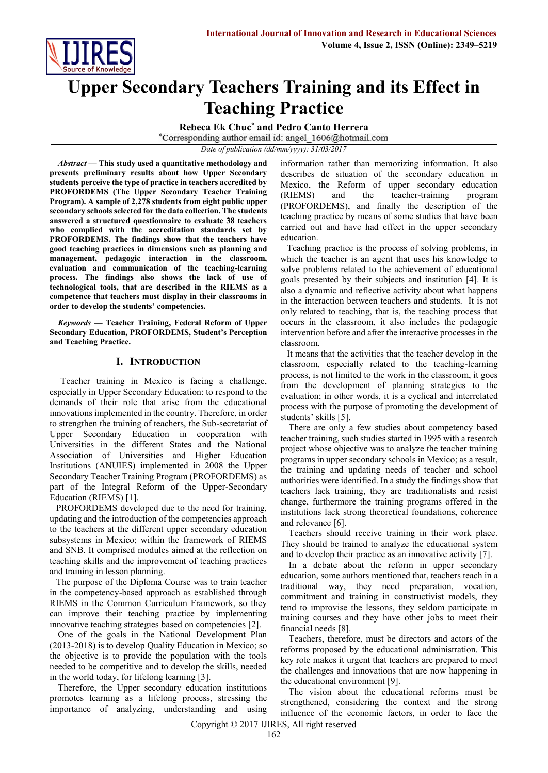

# **Upper Secondary Teachers Training and its Effect in Teaching Practice**

**Rebeca Ek Chuc\* and Pedro Canto Herrera**

*Date of publication (dd/mm/yyyy): 31/03/2017*

*Abstract* **— This study used a quantitative methodology and presents preliminary results about how Upper Secondary students perceive the type of practice in teachers accredited by PROFORDEMS (The Upper Secondary Teacher Training Program). A sample of 2,278 students from eight public upper secondary schools selected for the data collection. The students answered a structured questionnaire to evaluate 38 teachers who complied with the accreditation standards set by PROFORDEMS. The findings show that the teachers have good teaching practices in dimensions such as planning and management, pedagogic interaction in the classroom, evaluation and communication of the teaching-learning process. The findings also shows the lack of use of technological tools, that are described in the RIEMS as a competence that teachers must display in their classrooms in order to develop the students' competencies.**

*Keywords* **— Teacher Training, Federal Reform of Upper Secondary Education, PROFORDEMS, Student's Perception and Teaching Practice.**

# **I. INTRODUCTION**

Teacher training in Mexico is facing a challenge, especially in Upper Secondary Education: to respond to the demands of their role that arise from the educational innovations implemented in the country. Therefore, in order to strengthen the training of teachers, the Sub-secretariat of Upper Secondary Education in cooperation with Universities in the different States and the National Association of Universities and Higher Education Institutions (ANUIES) implemented in 2008 the Upper Secondary Teacher Training Program (PROFORDEMS) as part of the Integral Reform of the Upper-Secondary Education (RIEMS) [1].

PROFORDEMS developed due to the need for training, updating and the introduction of the competencies approach to the teachers at the different upper secondary education subsystems in Mexico; within the framework of RIEMS and SNB. It comprised modules aimed at the reflection on teaching skills and the improvement of teaching practices and training in lesson planning.

The purpose of the Diploma Course was to train teacher in the competency-based approach as established through RIEMS in the Common Curriculum Framework, so they can improve their teaching practice by implementing innovative teaching strategies based on competencies [2].

One of the goals in the National Development Plan (2013-2018) is to develop Quality Education in Mexico; so the objective is to provide the population with the tools needed to be competitive and to develop the skills, needed in the world today, for lifelong learning [3].

Therefore, the Upper secondary education institutions promotes learning as a lifelong process, stressing the importance of analyzing, understanding and using information rather than memorizing information. It also describes de situation of the secondary education in Mexico, the Reform of upper secondary education (RIEMS) and the teacher-training program (PROFORDEMS), and finally the description of the teaching practice by means of some studies that have been carried out and have had effect in the upper secondary education.

Teaching practice is the process of solving problems, in which the teacher is an agent that uses his knowledge to solve problems related to the achievement of educational goals presented by their subjects and institution [4]. It is also a dynamic and reflective activity about what happens in the interaction between teachers and students. It is not only related to teaching, that is, the teaching process that occurs in the classroom, it also includes the pedagogic intervention before and after the interactive processes in the classroom.

It means that the activities that the teacher develop in the classroom, especially related to the teaching-learning process, is not limited to the work in the classroom, it goes from the development of planning strategies to the evaluation; in other words, it is a cyclical and interrelated process with the purpose of promoting the development of students' skills [5].

There are only a few studies about competency based teacher training, such studies started in 1995 with a research project whose objective was to analyze the teacher training programs in upper secondary schools in Mexico; as a result, the training and updating needs of teacher and school authorities were identified. In a study the findings show that teachers lack training, they are traditionalists and resist change, furthermore the training programs offered in the institutions lack strong theoretical foundations, coherence and relevance [6].

Teachers should receive training in their work place. They should be trained to analyze the educational system and to develop their practice as an innovative activity [7].

In a debate about the reform in upper secondary education, some authors mentioned that, teachers teach in a traditional way, they need preparation, vocation, commitment and training in constructivist models, they tend to improvise the lessons, they seldom participate in training courses and they have other jobs to meet their financial needs [8].

Teachers, therefore, must be directors and actors of the reforms proposed by the educational administration. This key role makes it urgent that teachers are prepared to meet the challenges and innovations that are now happening in the educational environment [9].

The vision about the educational reforms must be strengthened, considering the context and the strong influence of the economic factors, in order to face the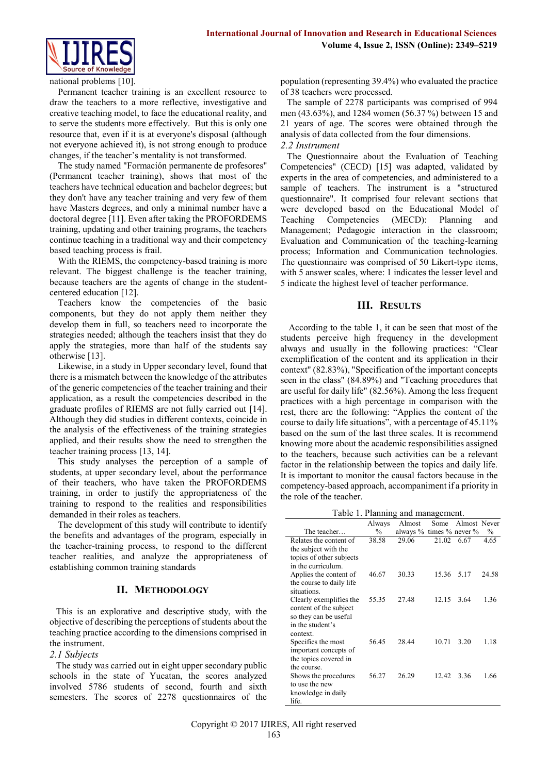

national problems [10].

Permanent teacher training is an excellent resource to draw the teachers to a more reflective, investigative and creative teaching model, to face the educational reality, and to serve the students more effectively. But this is only one resource that, even if it is at everyone's disposal (although not everyone achieved it), is not strong enough to produce changes, if the teacher's mentality is not transformed.

The study named "Formación permanente de profesores" (Permanent teacher training), shows that most of the teachers have technical education and bachelor degrees; but they don't have any teacher training and very few of them have Masters degrees, and only a minimal number have a doctoral degree [11]. Even after taking the PROFORDEMS training, updating and other training programs, the teachers continue teaching in a traditional way and their competency based teaching process is frail.

With the RIEMS, the competency-based training is more relevant. The biggest challenge is the teacher training, because teachers are the agents of change in the studentcentered education [12].

Teachers know the competencies of the basic components, but they do not apply them neither they develop them in full, so teachers need to incorporate the strategies needed; although the teachers insist that they do apply the strategies, more than half of the students say otherwise [13].

Likewise, in a study in Upper secondary level, found that there is a mismatch between the knowledge of the attributes of the generic competencies of the teacher training and their application, as a result the competencies described in the graduate profiles of RIEMS are not fully carried out [14]. Although they did studies in different contexts, coincide in the analysis of the effectiveness of the training strategies applied, and their results show the need to strengthen the teacher training process [13, 14].

This study analyses the perception of a sample of students, at upper secondary level, about the performance of their teachers, who have taken the PROFORDEMS training, in order to justify the appropriateness of the training to respond to the realities and responsibilities demanded in their roles as teachers.

The development of this study will contribute to identify the benefits and advantages of the program, especially in the teacher-training process, to respond to the different teacher realities, and analyze the appropriateness of establishing common training standards

# **II. METHODOLOGY**

This is an explorative and descriptive study, with the objective of describing the perceptions of students about the teaching practice according to the dimensions comprised in the instrument.

## *2.1 Subjects*

The study was carried out in eight upper secondary public schools in the state of Yucatan, the scores analyzed involved 5786 students of second, fourth and sixth semesters. The scores of 2278 questionnaires of the population (representing 39.4%) who evaluated the practice of 38 teachers were processed.

The sample of 2278 participants was comprised of 994 men (43.63%), and 1284 women (56.37 %) between 15 and 21 years of age. The scores were obtained through the analysis of data collected from the four dimensions. *2.2 Instrument*

The Questionnaire about the Evaluation of Teaching Competencies" (CECD) [15] was adapted, validated by experts in the area of competencies, and administered to a sample of teachers. The instrument is a "structured questionnaire". It comprised four relevant sections that were developed based on the Educational Model of Teaching Competencies (MECD): Planning and Management; Pedagogic interaction in the classroom; Evaluation and Communication of the teaching-learning process; Information and Communication technologies. The questionnaire was comprised of 50 Likert-type items, with 5 answer scales, where: 1 indicates the lesser level and 5 indicate the highest level of teacher performance.

## **III. RESULTS**

According to the table 1, it can be seen that most of the students perceive high frequency in the development always and usually in the following practices: "Clear exemplification of the content and its application in their context" (82.83%), "Specification of the important concepts seen in the class" (84.89%) and "Teaching procedures that are useful for daily life" (82.56%). Among the less frequent practices with a high percentage in comparison with the rest, there are the following: "Applies the content of the course to daily life situations", with a percentage of 45.11% based on the sum of the last three scales. It is recommend knowing more about the academic responsibilities assigned to the teachers, because such activities can be a relevant factor in the relationship between the topics and daily life. It is important to monitor the causal factors because in the competency-based approach, accompaniment if a priority in the role of the teacher.

| Table 1. Planning and management. |  |  |  |
|-----------------------------------|--|--|--|
|-----------------------------------|--|--|--|

|                          | Always        | Almost                            | Some  | Almost Never |       |
|--------------------------|---------------|-----------------------------------|-------|--------------|-------|
| The teacher              | $\frac{0}{0}$ | always $\%$ times $\%$ never $\%$ |       |              | $\%$  |
| Relates the content of   | 38.58         | 29.06                             | 21.02 | 6.67         | 4.65  |
| the subject with the     |               |                                   |       |              |       |
| topics of other subjects |               |                                   |       |              |       |
| in the curriculum.       |               |                                   |       |              |       |
| Applies the content of   | 46.67         | 30.33                             | 15.36 | 5.17         | 24.58 |
| the course to daily life |               |                                   |       |              |       |
| situations.              |               |                                   |       |              |       |
| Clearly exemplifies the  | 55.35         | 27.48                             | 12.15 | 3.64         | 1.36  |
| content of the subject   |               |                                   |       |              |       |
| so they can be useful    |               |                                   |       |              |       |
| in the student's         |               |                                   |       |              |       |
| context.                 |               |                                   |       |              |       |
| Specifies the most       | 56.45         | 28.44                             | 10.71 | 3.20         | 1.18  |
| important concepts of    |               |                                   |       |              |       |
| the topics covered in    |               |                                   |       |              |       |
| the course.              |               |                                   |       |              |       |
| Shows the procedures     | 56.27         | 26.29                             | 12.42 | 3.36         | 1.66  |
| to use the new           |               |                                   |       |              |       |
| knowledge in daily       |               |                                   |       |              |       |
| life.                    |               |                                   |       |              |       |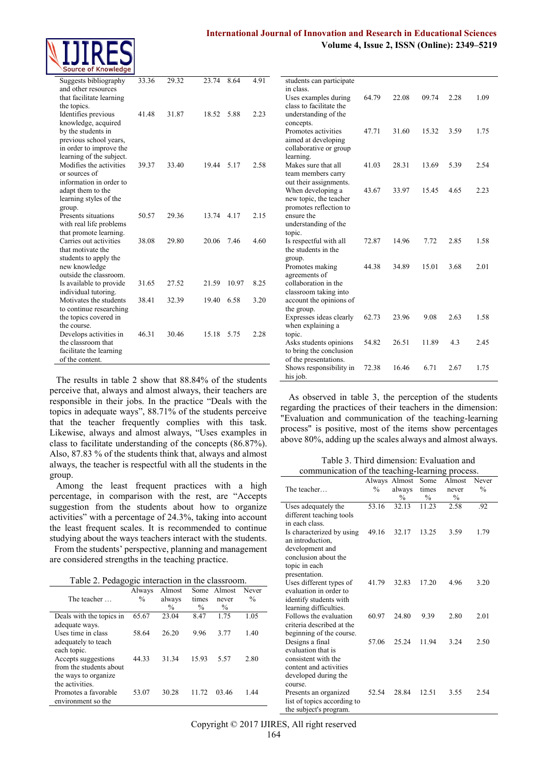# **International Journal of Innovation and Research in Educational Sciences**

**Volume 4, Issue 2, ISSN (Online): 2349–5219**

| Suggests bibliography                               | 33.36 | 29.32 | 23.74 | 8.64  | 4.91 |
|-----------------------------------------------------|-------|-------|-------|-------|------|
| and other resources                                 |       |       |       |       |      |
| that facilitate learning                            |       |       |       |       |      |
| the topics.                                         |       |       |       |       |      |
| Identifies previous                                 | 4148  | 31.87 | 18.52 | 5.88  | 2.23 |
| knowledge, acquired                                 |       |       |       |       |      |
| by the students in                                  |       |       |       |       |      |
| previous school years,                              |       |       |       |       |      |
| in order to improve the                             |       |       |       |       |      |
| learning of the subject.<br>Modifies the activities | 39.37 | 33.40 | 19.44 | 5.17  | 2.58 |
| or sources of                                       |       |       |       |       |      |
| information in order to                             |       |       |       |       |      |
| adapt them to the                                   |       |       |       |       |      |
| learning styles of the                              |       |       |       |       |      |
| group.                                              |       |       |       |       |      |
| Presents situations                                 | 50.57 | 29.36 | 13.74 | 4.17  | 2.15 |
| with real life problems                             |       |       |       |       |      |
| that promote learning.                              |       |       |       |       |      |
| Carries out activities                              | 38.08 | 29.80 | 20.06 | 7.46  | 4.60 |
| that motivate the                                   |       |       |       |       |      |
| students to apply the                               |       |       |       |       |      |
| new knowledge                                       |       |       |       |       |      |
| outside the classroom.                              |       |       |       |       |      |
| Is available to provide                             | 31.65 | 27.52 | 21.59 | 10.97 | 8.25 |
| individual tutoring.<br>Motivates the students      | 38.41 | 32.39 | 19.40 | 6.58  | 3.20 |
| to continue researching                             |       |       |       |       |      |
| the topics covered in                               |       |       |       |       |      |
| the course.                                         |       |       |       |       |      |
| Develops activities in                              | 46.31 | 30.46 | 15.18 | 5.75  | 2.28 |
| the classroom that                                  |       |       |       |       |      |
| facilitate the learning                             |       |       |       |       |      |
| of the content.                                     |       |       |       |       |      |

The results in table 2 show that 88.84% of the students perceive that, always and almost always, their teachers are responsible in their jobs. In the practice "Deals with the topics in adequate ways", 88.71% of the students perceive that the teacher frequently complies with this task. Likewise, always and almost always, "Uses examples in class to facilitate understanding of the concepts (86.87%). Also, 87.83 % of the students think that, always and almost always, the teacher is respectful with all the students in the group.

Among the least frequent practices with a high percentage, in comparison with the rest, are "Accepts suggestion from the students about how to organize activities" with a percentage of 24.3%, taking into account the least frequent scales. It is recommended to continue studying about the ways teachers interact with the students. From the students' perspective, planning and management

are considered strengths in the teaching practice.

|  |  | Table 2. Pedagogic interaction in the classroom. |
|--|--|--------------------------------------------------|
|  |  |                                                  |

|                                                 | Always | Almost                  | Some                   | Almost                 | Never         |
|-------------------------------------------------|--------|-------------------------|------------------------|------------------------|---------------|
| The teacher                                     | %      | always<br>$\frac{0}{0}$ | times<br>$\frac{0}{0}$ | never<br>$\frac{0}{0}$ | $\frac{0}{0}$ |
| Deals with the topics in                        | 65.67  | 23.04                   | 8.47                   | 1.75                   | 1.05          |
| adequate ways.<br>Uses time in class            | 58.64  | 26.20                   | 9.96                   | 3.77                   | 1.40          |
| adequately to teach                             |        |                         |                        |                        |               |
| each topic.<br>Accepts suggestions              | 44.33  | 31.34                   | 15.93                  | 5.57                   | 2.80          |
| from the students about<br>the ways to organize |        |                         |                        |                        |               |
| the activities.                                 |        |                         |                        |                        |               |
| Promotes a favorable<br>environment so the      | 53.07  | 30.28                   | 11 72                  | 03 46                  | 1.44          |
|                                                 |        |                         |                        |                        |               |

| students can participate             |       |       |       |      |      |
|--------------------------------------|-------|-------|-------|------|------|
| in class.                            |       |       |       |      |      |
| Uses examples during                 | 64.79 | 22.08 | 09.74 | 2.28 | 1.09 |
| class to facilitate the              |       |       |       |      |      |
| understanding of the                 |       |       |       |      |      |
| concepts.                            |       |       |       |      |      |
| Promotes activities                  | 47.71 | 31.60 | 15.32 | 3.59 | 1.75 |
| aimed at developing                  |       |       |       |      |      |
| collaborative or group               |       |       |       |      |      |
| learning.                            |       |       |       |      |      |
| Makes sure that all                  | 41.03 | 28.31 | 13.69 | 5.39 | 2.54 |
| team members carry                   |       |       |       |      |      |
| out their assignments.               |       |       |       |      |      |
| When developing a                    | 43.67 | 33.97 | 15.45 | 4.65 | 2.23 |
| new topic, the teacher               |       |       |       |      |      |
| promotes reflection to<br>ensure the |       |       |       |      |      |
|                                      |       |       |       |      |      |
| understanding of the<br>topic.       |       |       |       |      |      |
| Is respectful with all               | 72.87 | 14.96 | 7.72  | 2.85 | 1.58 |
| the students in the                  |       |       |       |      |      |
| group.                               |       |       |       |      |      |
| Promotes making                      | 44.38 | 34.89 | 15.01 | 3.68 | 2.01 |
| agreements of                        |       |       |       |      |      |
| collaboration in the                 |       |       |       |      |      |
| classroom taking into                |       |       |       |      |      |
| account the opinions of              |       |       |       |      |      |
| the group.                           |       |       |       |      |      |
| Expresses ideas clearly              | 62.73 | 23.96 | 9.08  | 2.63 | 1.58 |
| when explaining a                    |       |       |       |      |      |
| topic.                               |       |       |       |      |      |
| Asks students opinions               | 54.82 | 26.51 | 11.89 | 4.3  | 2.45 |
| to bring the conclusion              |       |       |       |      |      |
| of the presentations.                |       |       |       |      |      |
| Shows responsibility in              | 72.38 | 16.46 | 6.71  | 2.67 | 1.75 |
| his job.                             |       |       |       |      |      |

As observed in table 3, the perception of the students regarding the practices of their teachers in the dimension: "Evaluation and communication of the teaching-learning process" is positive, most of the items show percentages above 80%, adding up the scales always and almost always.

Table 3. Third dimension: Evaluation and communication of the teaching-learning process.

|                             | Always | Almost        | Some  | Almost        | Never         |
|-----------------------------|--------|---------------|-------|---------------|---------------|
| The teacher                 | %      | always        | times | never         | $\frac{0}{0}$ |
|                             |        | $\frac{0}{0}$ | $\%$  | $\frac{0}{0}$ |               |
| Uses adequately the         | 53.16  | 32.13         | 11.23 | 2.58          | .92           |
| different teaching tools    |        |               |       |               |               |
| in each class.              |        |               |       |               |               |
| Is characterized by using   | 49.16  | 32.17         | 13.25 | 3.59          | 1.79          |
| an introduction,            |        |               |       |               |               |
| development and             |        |               |       |               |               |
| conclusion about the        |        |               |       |               |               |
| topic in each               |        |               |       |               |               |
| presentation.               |        |               |       |               |               |
| Uses different types of     | 41.79  | 32.83         | 17.20 | 4.96          | 3.20          |
| evaluation in order to      |        |               |       |               |               |
| identify students with      |        |               |       |               |               |
| learning difficulties.      |        |               |       |               |               |
| Follows the evaluation      | 60.97  | 24.80         | 9.39  | 2.80          | 2.01          |
| criteria described at the   |        |               |       |               |               |
| beginning of the course.    |        |               |       |               |               |
| Designs a final             | 57.06  | 25.24         | 11.94 | 3.24          | 2.50          |
| evaluation that is          |        |               |       |               |               |
| consistent with the         |        |               |       |               |               |
| content and activities      |        |               |       |               |               |
| developed during the        |        |               |       |               |               |
| course.                     |        |               |       |               |               |
| Presents an organized       | 52.54  | 28.84         | 12.51 | 3.55          | 2.54          |
| list of topics according to |        |               |       |               |               |
| the subject's program.      |        |               |       |               |               |

Copyright © 2017 IJIRES, All right reserved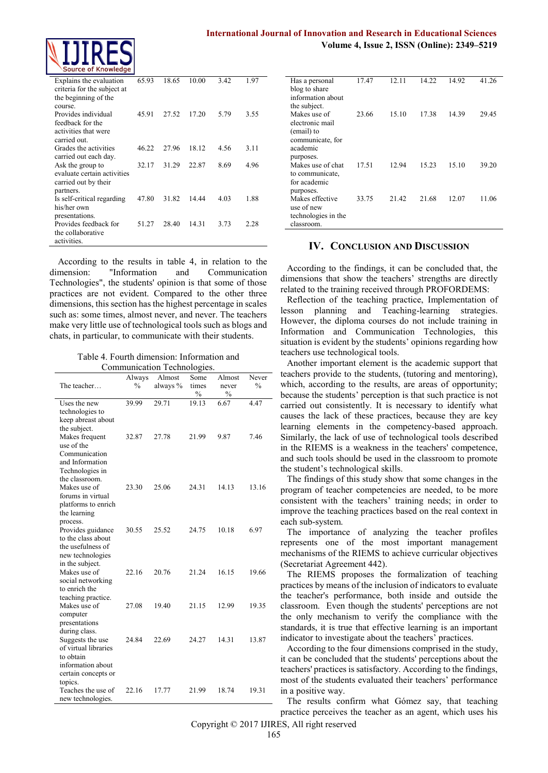

| <b>Source of Milowiedge</b>                                                               |       |       |       |      |      |
|-------------------------------------------------------------------------------------------|-------|-------|-------|------|------|
| Explains the evaluation<br>criteria for the subject at<br>the beginning of the<br>course. | 65.93 | 18.65 | 10.00 | 3.42 | 1.97 |
| Provides individual<br>feedback for the<br>activities that were<br>carried out.           | 45.91 | 27.52 | 17.20 | 5.79 | 3.55 |
| Grades the activities<br>carried out each day.                                            | 46.22 | 27.96 | 18.12 | 4.56 | 3.11 |
| Ask the group to<br>evaluate certain activities<br>carried out by their<br>partners.      | 32.17 | 31.29 | 22.87 | 8.69 | 4.96 |
| Is self-critical regarding<br>his/her own<br>presentations.                               | 47.80 | 31.82 | 14.44 | 4.03 | 1.88 |
| Provides feedback for<br>the collaborative<br>activities.                                 | 51.27 | 28.40 | 14.31 | 3.73 | 2.28 |
|                                                                                           |       |       |       |      |      |

According to the results in table 4, in relation to the dimension: "Information and Communication Technologies", the students' opinion is that some of those practices are not evident. Compared to the other three dimensions, this section has the highest percentage in scales such as: some times, almost never, and never. The teachers make very little use of technological tools such as blogs and chats, in particular, to communicate with their students.

Table 4. Fourth dimension: Information and Communication Technologies.

|                                         | Always | Almost   | Some                   | Almost                 | Never         |
|-----------------------------------------|--------|----------|------------------------|------------------------|---------------|
| The teacher                             | $\%$   | always % | times<br>$\frac{0}{0}$ | never<br>$\frac{0}{0}$ | $\frac{0}{0}$ |
| Uses the new                            | 39.99  | 29.71    | 19.13                  | 6.67                   | 4.47          |
| technologies to                         |        |          |                        |                        |               |
| keep abreast about                      |        |          |                        |                        |               |
| the subject.                            |        |          |                        |                        |               |
| Makes frequent                          | 32.87  | 27.78    | 21.99                  | 9.87                   | 7.46          |
| use of the                              |        |          |                        |                        |               |
| Communication                           |        |          |                        |                        |               |
| and Information                         |        |          |                        |                        |               |
| Technologies in                         |        |          |                        |                        |               |
| the classroom.                          |        |          |                        |                        |               |
| Makes use of                            | 23.30  | 25.06    | 24.31                  | 14.13                  | 13.16         |
| forums in virtual                       |        |          |                        |                        |               |
| platforms to enrich                     |        |          |                        |                        |               |
| the learning                            |        |          |                        |                        |               |
| process.                                |        |          | 24.75                  | 10.18                  |               |
| Provides guidance<br>to the class about | 30.55  | 25.52    |                        |                        | 6.97          |
| the usefulness of                       |        |          |                        |                        |               |
| new technologies                        |        |          |                        |                        |               |
| in the subject.                         |        |          |                        |                        |               |
| Makes use of                            | 22.16  | 20.76    | 21.24                  | 16.15                  | 19.66         |
| social networking                       |        |          |                        |                        |               |
| to enrich the                           |        |          |                        |                        |               |
| teaching practice.                      |        |          |                        |                        |               |
| Makes use of                            | 27.08  | 19.40    | 21.15                  | 12.99                  | 19.35         |
| computer                                |        |          |                        |                        |               |
| presentations                           |        |          |                        |                        |               |
| during class.                           |        |          |                        |                        |               |
| Suggests the use                        | 24.84  | 22.69    | 24.27                  | 14.31                  | 13.87         |
| of virtual libraries                    |        |          |                        |                        |               |
| to obtain                               |        |          |                        |                        |               |
| information about                       |        |          |                        |                        |               |
| certain concepts or                     |        |          |                        |                        |               |
| topics.                                 |        |          |                        |                        |               |
| Teaches the use of                      | 22.16  | 17.77    | 21.99                  | 18.74                  | 19.31         |
| new technologies.                       |        |          |                        |                        |               |

| 41.26 |
|-------|
|       |
|       |
|       |
| 29.45 |
|       |
|       |
|       |
|       |
|       |
| 39.20 |
|       |
|       |
| 11.06 |
|       |
|       |
|       |
|       |

### **IV. CONCLUSION AND DISCUSSION**

According to the findings, it can be concluded that, the dimensions that show the teachers' strengths are directly related to the training received through PROFORDEMS:

Reflection of the teaching practice, Implementation of lesson planning and Teaching-learning strategies. However, the diploma courses do not include training in Information and Communication Technologies, this situation is evident by the students' opinions regarding how teachers use technological tools.

Another important element is the academic support that teachers provide to the students, (tutoring and mentoring), which, according to the results, are areas of opportunity; because the students' perception is that such practice is not carried out consistently. It is necessary to identify what causes the lack of these practices, because they are key learning elements in the competency-based approach. Similarly, the lack of use of technological tools described in the RIEMS is a weakness in the teachers' competence, and such tools should be used in the classroom to promote the student's technological skills.

The findings of this study show that some changes in the program of teacher competencies are needed, to be more consistent with the teachers' training needs; in order to improve the teaching practices based on the real context in each sub-system.

The importance of analyzing the teacher profiles represents one of the most important management mechanisms of the RIEMS to achieve curricular objectives (Secretariat Agreement 442).

The RIEMS proposes the formalization of teaching practices by means of the inclusion of indicators to evaluate the teacher's performance, both inside and outside the classroom. Even though the students' perceptions are not the only mechanism to verify the compliance with the standards, it is true that effective learning is an important indicator to investigate about the teachers' practices.

According to the four dimensions comprised in the study, it can be concluded that the students' perceptions about the teachers' practices is satisfactory. According to the findings, most of the students evaluated their teachers' performance in a positive way.

The results confirm what Gómez say, that teaching practice perceives the teacher as an agent, which uses his

Copyright © 2017 IJIRES, All right reserved